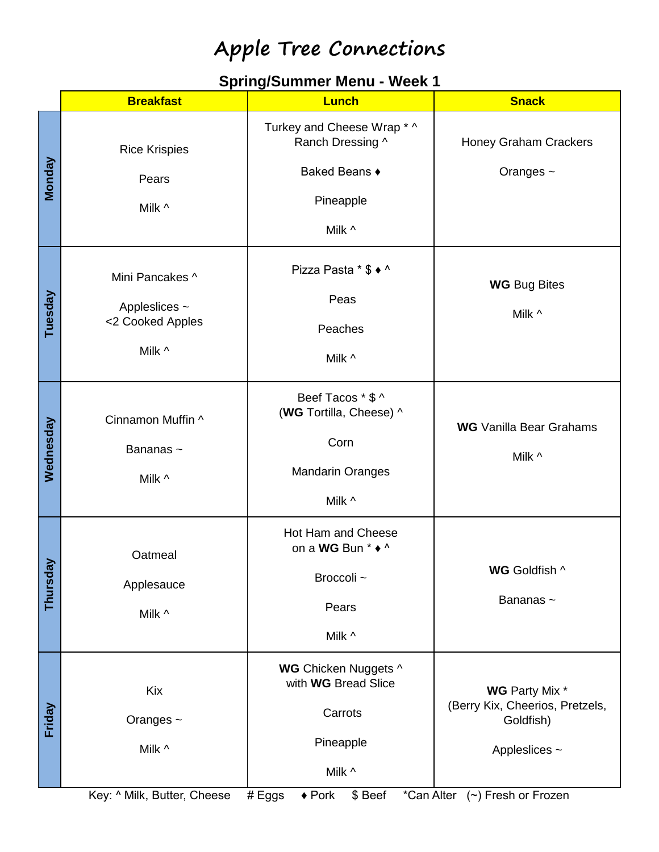### **Spring/Summer Menu - Week 1**

|           | <b>Breakfast</b>                                               | <b>Lunch</b>                                                                              | <b>Snack</b>                                                                           |
|-----------|----------------------------------------------------------------|-------------------------------------------------------------------------------------------|----------------------------------------------------------------------------------------|
| Monday    | <b>Rice Krispies</b><br>Pears                                  | Turkey and Cheese Wrap * ^<br>Ranch Dressing ^<br>Baked Beans ♦                           | Honey Graham Crackers<br>Oranges ~                                                     |
|           | Milk ^                                                         | Pineapple<br>Milk ^                                                                       |                                                                                        |
| Tuesday   | Mini Pancakes ^<br>Appleslices ~<br><2 Cooked Apples<br>Milk ^ | Pizza Pasta * \$ ◆ ^<br>Peas<br>Peaches<br>Milk ^                                         | <b>WG Bug Bites</b><br>Milk ^                                                          |
| Wednesday | Cinnamon Muffin ^<br>Bananas~<br>Milk ^                        | Beef Tacos * \$ ^<br>(WG Tortilla, Cheese) ^<br>Corn<br><b>Mandarin Oranges</b><br>Milk ^ | <b>WG</b> Vanilla Bear Grahams<br>Milk ^                                               |
| Thursday  | Oatmeal<br>Applesauce<br>Milk ^                                | Hot Ham and Cheese<br>on a WG Bun * ◆ ^<br>Broccoli ~<br>Pears<br>Milk ^                  | WG Goldfish ^<br>Bananas~                                                              |
| Friday    | Kix<br>Oranges ~<br>Milk ^                                     | WG Chicken Nuggets ^<br>with WG Bread Slice<br>Carrots<br>Pineapple<br>Milk ^             | <b>WG</b> Party Mix *<br>(Berry Kix, Cheerios, Pretzels,<br>Goldfish)<br>Appleslices ~ |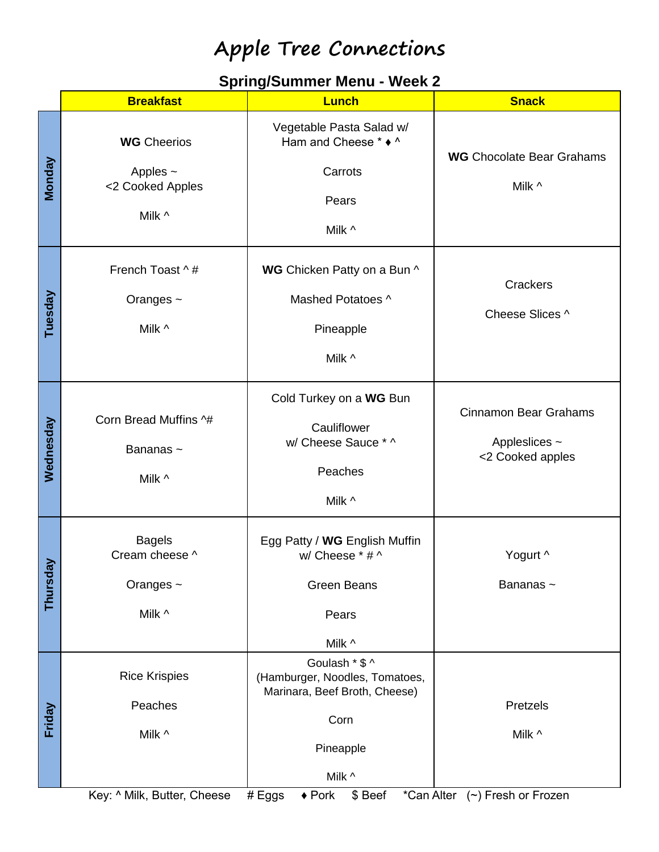### **Spring/Summer Menu - Week 2**

|              | <b>Breakfast</b>                                                  | <b>Lunch</b>                                                                                                     | <b>Snack</b>                                                      |
|--------------|-------------------------------------------------------------------|------------------------------------------------------------------------------------------------------------------|-------------------------------------------------------------------|
| Monday       | <b>WG</b> Cheerios<br>Apples $\sim$<br><2 Cooked Apples<br>Milk ^ | Vegetable Pasta Salad w/<br>Ham and Cheese * ◆ ^<br>Carrots<br>Pears<br>Milk ^                                   | <b>WG</b> Chocolate Bear Grahams<br>Milk ^                        |
| Tuesday      | French Toast ^#<br>Oranges $\sim$<br>Milk ^                       | WG Chicken Patty on a Bun ^<br>Mashed Potatoes ^<br>Pineapple<br>Milk ^                                          | Crackers<br>Cheese Slices ^                                       |
| Wednesday    | Corn Bread Muffins ^#<br>Bananas~<br>Milk ^                       | Cold Turkey on a WG Bun<br>Cauliflower<br>w/ Cheese Sauce * ^<br>Peaches<br>Milk ^                               | <b>Cinnamon Bear Grahams</b><br>Appleslices ~<br><2 Cooked apples |
| λã<br>Thursd | <b>Bagels</b><br>Cream cheese ^<br>Oranges ~<br>Milk ^            | Egg Patty / WG English Muffin<br>w/ Cheese * # ^<br><b>Green Beans</b><br>Pears<br>Milk ^                        | Yogurt ^<br>Bananas~                                              |
| Friday       | <b>Rice Krispies</b><br>Peaches<br>Milk ^                         | Goulash * \$ ^<br>(Hamburger, Noodles, Tomatoes,<br>Marinara, Beef Broth, Cheese)<br>Corn<br>Pineapple<br>Milk ^ | Pretzels<br>Milk ^                                                |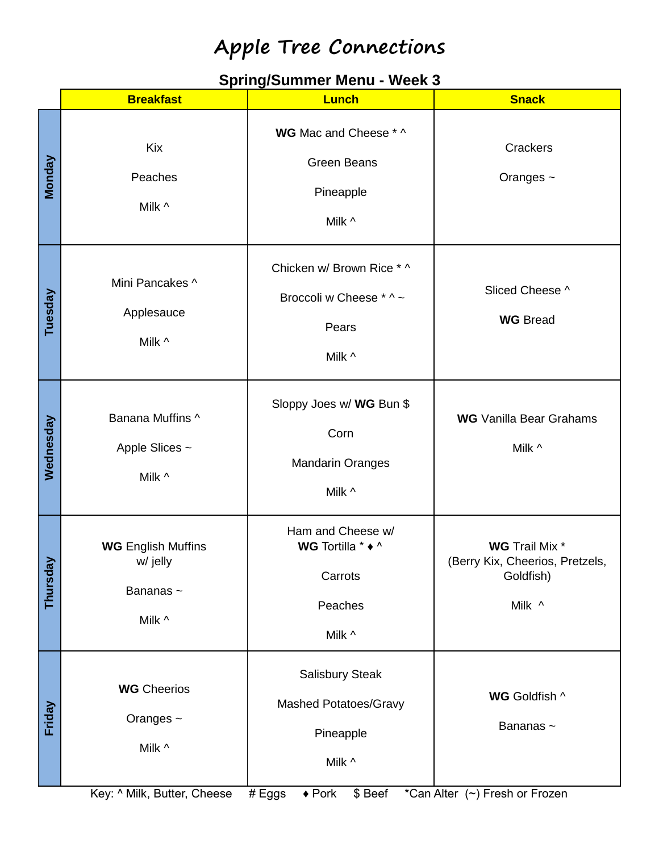#### **Spring/Summer Menu - Week 3**

|              | <b>Breakfast</b>                                            | <b>Lunch</b>                                                            | <b>Snack</b>                                                                    |
|--------------|-------------------------------------------------------------|-------------------------------------------------------------------------|---------------------------------------------------------------------------------|
| Monday       | Kix<br>Peaches<br>Milk ^                                    | WG Mac and Cheese * ^<br><b>Green Beans</b><br>Pineapple<br>Milk ^      | Crackers<br>Oranges ~                                                           |
| Tuesday      | Mini Pancakes ^<br>Applesauce<br>Milk ^                     | Chicken w/ Brown Rice * ^<br>Broccoli w Cheese * ^ ~<br>Pears<br>Milk ^ | Sliced Cheese ^<br><b>WG</b> Bread                                              |
| Wednesday    | Banana Muffins ^<br>Apple Slices ~<br>Milk ^                | Sloppy Joes w/ WG Bun \$<br>Corn<br><b>Mandarin Oranges</b><br>Milk ^   | <b>WG</b> Vanilla Bear Grahams<br>Milk ^                                        |
| λã<br>Thursd | <b>WG English Muffins</b><br>w/ jelly<br>Bananas~<br>Milk ^ | Ham and Cheese w/<br>WG Tortilla * ◆ ^<br>Carrots<br>Peaches<br>Milk ^  | <b>WG</b> Trail Mix *<br>(Berry Kix, Cheerios, Pretzels,<br>Goldfish)<br>Milk ^ |
| Friday       | <b>WG</b> Cheerios<br>Oranges ~<br>Milk ^                   | Salisbury Steak<br>Mashed Potatoes/Gravy<br>Pineapple<br>Milk ^         | WG Goldfish ^<br>Bananas~                                                       |